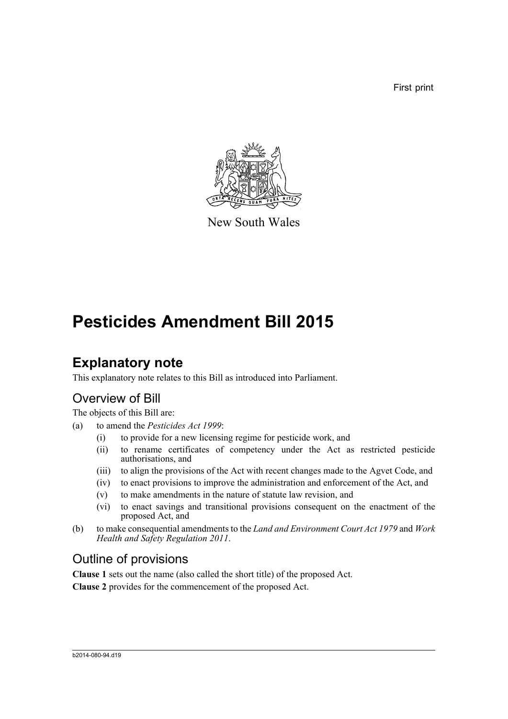First print



New South Wales

# **Pesticides Amendment Bill 2015**

## **Explanatory note**

This explanatory note relates to this Bill as introduced into Parliament.

## Overview of Bill

The objects of this Bill are:

- (a) to amend the *Pesticides Act 1999*:
	- (i) to provide for a new licensing regime for pesticide work, and
	- (ii) to rename certificates of competency under the Act as restricted pesticide authorisations, and
	- (iii) to align the provisions of the Act with recent changes made to the Agvet Code, and
	- (iv) to enact provisions to improve the administration and enforcement of the Act, and
	- (v) to make amendments in the nature of statute law revision, and
	- (vi) to enact savings and transitional provisions consequent on the enactment of the proposed Act, and
- (b) to make consequential amendments to the *Land and Environment Court Act 1979* and *Work Health and Safety Regulation 2011*.

## Outline of provisions

**Clause 1** sets out the name (also called the short title) of the proposed Act.

**Clause 2** provides for the commencement of the proposed Act.

#### b2014-080-94.d19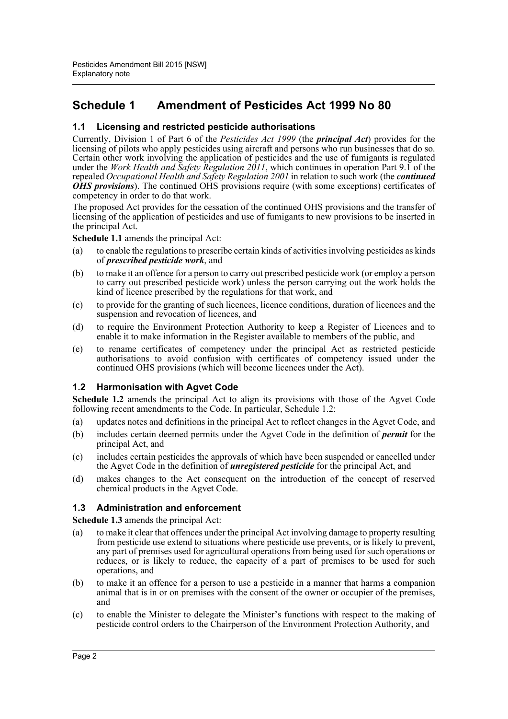### **Schedule 1 Amendment of Pesticides Act 1999 No 80**

#### **1.1 Licensing and restricted pesticide authorisations**

Currently, Division 1 of Part 6 of the *Pesticides Act 1999* (the *principal Act*) provides for the licensing of pilots who apply pesticides using aircraft and persons who run businesses that do so. Certain other work involving the application of pesticides and the use of fumigants is regulated under the *Work Health and Safety Regulation 2011*, which continues in operation Part 9.1 of the repealed *Occupational Health and Safety Regulation 2001* in relation to such work (the *continued OHS provisions*). The continued OHS provisions require (with some exceptions) certificates of competency in order to do that work.

The proposed Act provides for the cessation of the continued OHS provisions and the transfer of licensing of the application of pesticides and use of fumigants to new provisions to be inserted in the principal Act.

**Schedule 1.1** amends the principal Act:

- (a) to enable the regulations to prescribe certain kinds of activities involving pesticides as kinds of *prescribed pesticide work*, and
- (b) to make it an offence for a person to carry out prescribed pesticide work (or employ a person to carry out prescribed pesticide work) unless the person carrying out the work holds the kind of licence prescribed by the regulations for that work, and
- (c) to provide for the granting of such licences, licence conditions, duration of licences and the suspension and revocation of licences, and
- (d) to require the Environment Protection Authority to keep a Register of Licences and to enable it to make information in the Register available to members of the public, and
- (e) to rename certificates of competency under the principal Act as restricted pesticide authorisations to avoid confusion with certificates of competency issued under the continued OHS provisions (which will become licences under the Act).

#### **1.2 Harmonisation with Agvet Code**

**Schedule 1.2** amends the principal Act to align its provisions with those of the Agvet Code following recent amendments to the Code. In particular, Schedule 1.2:

- (a) updates notes and definitions in the principal Act to reflect changes in the Agvet Code, and
- (b) includes certain deemed permits under the Agvet Code in the definition of *permit* for the principal Act, and
- (c) includes certain pesticides the approvals of which have been suspended or cancelled under the Agvet Code in the definition of *unregistered pesticide* for the principal Act, and
- (d) makes changes to the Act consequent on the introduction of the concept of reserved chemical products in the Agvet Code.

#### **1.3 Administration and enforcement**

**Schedule 1.3** amends the principal Act:

- (a) to make it clear that offences under the principal Act involving damage to property resulting from pesticide use extend to situations where pesticide use prevents, or is likely to prevent, any part of premises used for agricultural operations from being used for such operations or reduces, or is likely to reduce, the capacity of a part of premises to be used for such operations, and
- (b) to make it an offence for a person to use a pesticide in a manner that harms a companion animal that is in or on premises with the consent of the owner or occupier of the premises, and
- (c) to enable the Minister to delegate the Minister's functions with respect to the making of pesticide control orders to the Chairperson of the Environment Protection Authority, and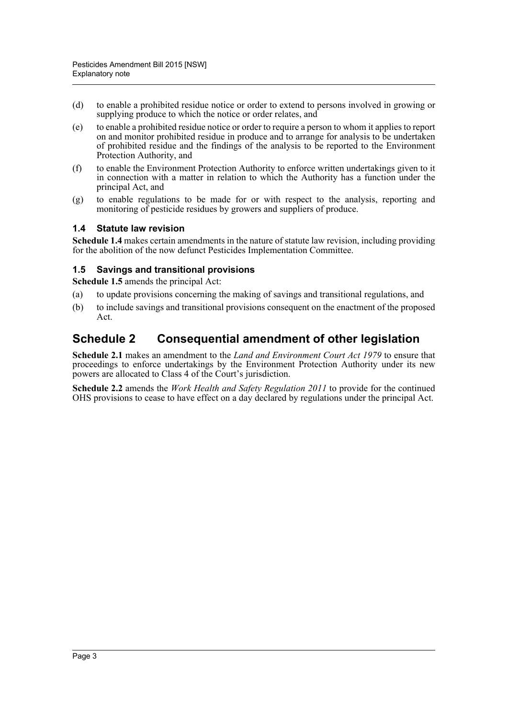- (d) to enable a prohibited residue notice or order to extend to persons involved in growing or supplying produce to which the notice or order relates, and
- (e) to enable a prohibited residue notice or order to require a person to whom it applies to report on and monitor prohibited residue in produce and to arrange for analysis to be undertaken of prohibited residue and the findings of the analysis to be reported to the Environment Protection Authority, and
- (f) to enable the Environment Protection Authority to enforce written undertakings given to it in connection with a matter in relation to which the Authority has a function under the principal Act, and
- (g) to enable regulations to be made for or with respect to the analysis, reporting and monitoring of pesticide residues by growers and suppliers of produce.

#### **1.4 Statute law revision**

**Schedule 1.4** makes certain amendments in the nature of statute law revision, including providing for the abolition of the now defunct Pesticides Implementation Committee.

#### **1.5 Savings and transitional provisions**

**Schedule 1.5** amends the principal Act:

- (a) to update provisions concerning the making of savings and transitional regulations, and
- (b) to include savings and transitional provisions consequent on the enactment of the proposed Act.

### **Schedule 2 Consequential amendment of other legislation**

**Schedule 2.1** makes an amendment to the *Land and Environment Court Act 1979* to ensure that proceedings to enforce undertakings by the Environment Protection Authority under its new powers are allocated to Class 4 of the Court's jurisdiction.

**Schedule 2.2** amends the *Work Health and Safety Regulation 2011* to provide for the continued OHS provisions to cease to have effect on a day declared by regulations under the principal Act.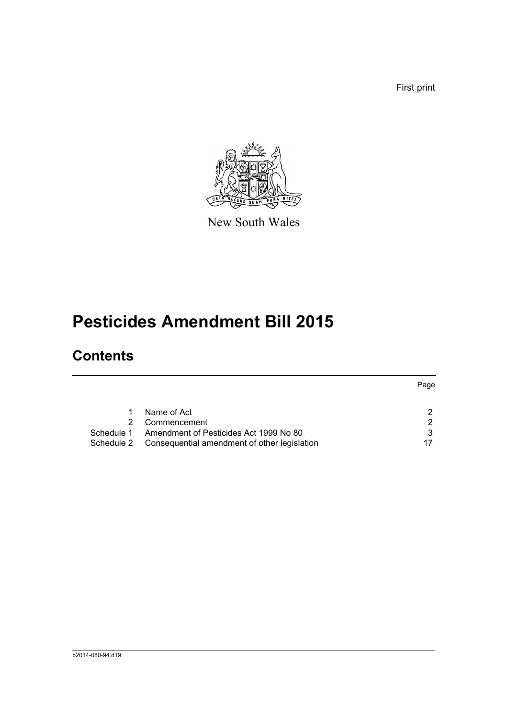First print



New South Wales

# **Pesticides Amendment Bill 2015**

# **Contents**

|            |                                              | Page |
|------------|----------------------------------------------|------|
|            |                                              |      |
|            | Name of Act                                  | າ    |
|            | Commencement                                 | 2    |
| Schedule 1 | Amendment of Pesticides Act 1999 No 80       | 3    |
| Schedule 2 | Consequential amendment of other legislation |      |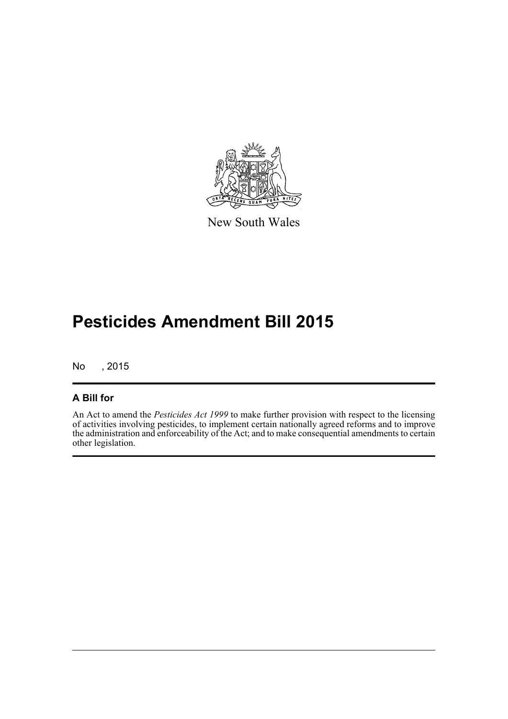

New South Wales

# **Pesticides Amendment Bill 2015**

No , 2015

#### **A Bill for**

An Act to amend the *Pesticides Act 1999* to make further provision with respect to the licensing of activities involving pesticides, to implement certain nationally agreed reforms and to improve the administration and enforceability of the Act; and to make consequential amendments to certain other legislation.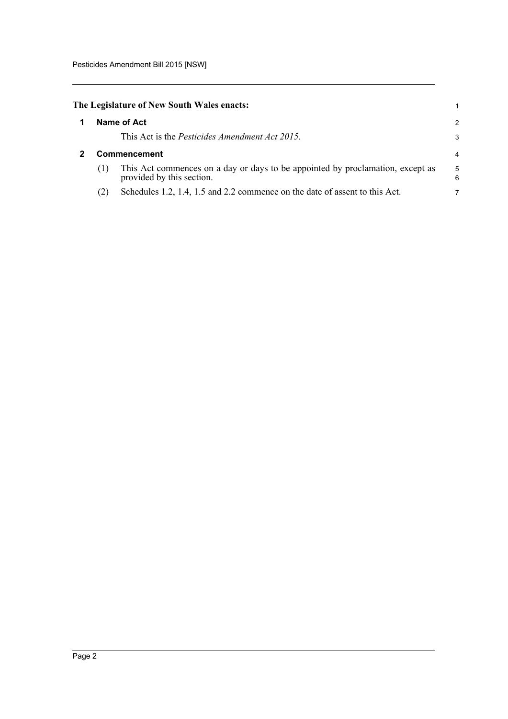<span id="page-5-1"></span><span id="page-5-0"></span>

|              | The Legislature of New South Wales enacts:                                                                  |        |
|--------------|-------------------------------------------------------------------------------------------------------------|--------|
|              | Name of Act                                                                                                 | 2      |
|              | This Act is the <i>Pesticides Amendment Act 2015</i> .                                                      | 3      |
| Commencement |                                                                                                             |        |
| (1)          | This Act commences on a day or days to be appointed by proclamation, except as<br>provided by this section. | 5<br>6 |
| (2)          | Schedules 1.2, 1.4, 1.5 and 2.2 commence on the date of assent to this Act.                                 | 7      |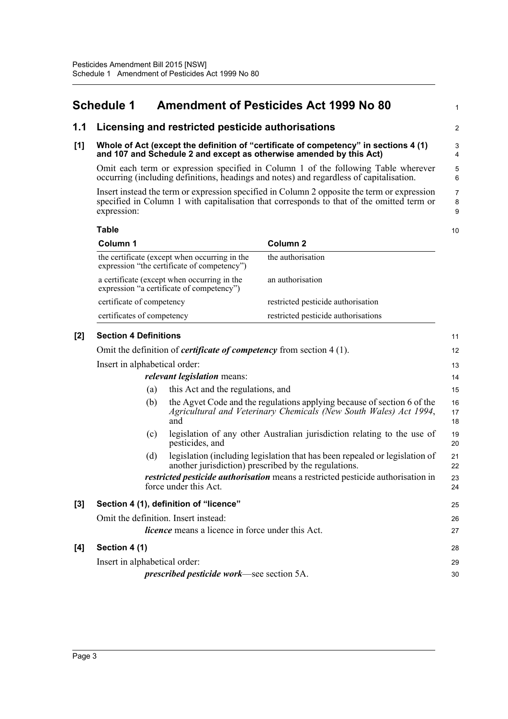### <span id="page-6-0"></span>**Schedule 1 Amendment of Pesticides Act 1999 No 80**

#### **1.1 Licensing and restricted pesticide authorisations**

#### **[1] Whole of Act (except the definition of "certificate of competency" in sections 4 (1) and 107 and Schedule 2 and except as otherwise amended by this Act)**

Omit each term or expression specified in Column 1 of the following Table wherever occurring (including definitions, headings and notes) and regardless of capitalisation.

1

 $\overline{2}$ 

Insert instead the term or expression specified in Column 2 opposite the term or expression specified in Column 1 with capitalisation that corresponds to that of the omitted term or expression:

**Table Column 1 Column 2** the certificate (except when occurring in the expression "the certificate of competency") the authorisation a certificate (except when occurring in the expression "a certificate of competency") an authorisation certificate of competency restricted pesticide authorisation certificates of competency restricted pesticide authorisations 10

| [2] | <b>Section 4 Definitions</b>                                                  |                                                                                                                                                     | 11             |  |
|-----|-------------------------------------------------------------------------------|-----------------------------------------------------------------------------------------------------------------------------------------------------|----------------|--|
|     | Omit the definition of <i>certificate of competency</i> from section $4(1)$ . |                                                                                                                                                     |                |  |
|     | Insert in alphabetical order:                                                 |                                                                                                                                                     |                |  |
|     |                                                                               | <i>relevant legislation</i> means:                                                                                                                  | 14             |  |
|     | (a)                                                                           | this Act and the regulations, and                                                                                                                   | 15             |  |
|     | (b)                                                                           | the Agvet Code and the regulations applying because of section 6 of the<br>Agricultural and Veterinary Chemicals (New South Wales) Act 1994,<br>and | 16<br>17<br>18 |  |
|     | (c)                                                                           | legislation of any other Australian jurisdiction relating to the use of<br>pesticides, and                                                          | 19<br>20       |  |
|     | (d)                                                                           | legislation (including legislation that has been repealed or legislation of<br>another jurisdiction) prescribed by the regulations.                 | 21<br>22       |  |
|     |                                                                               | restricted pesticide authorisation means a restricted pesticide authorisation in<br>force under this Act.                                           | 23<br>24       |  |
| [3] |                                                                               | Section 4 (1), definition of "licence"                                                                                                              | 25             |  |
|     | Omit the definition. Insert instead:                                          |                                                                                                                                                     | 26             |  |
|     |                                                                               | <i>licence</i> means a licence in force under this Act.                                                                                             | 27             |  |
| [4] | Section 4 (1)                                                                 |                                                                                                                                                     | 28             |  |
|     | Insert in alphabetical order:                                                 |                                                                                                                                                     | 29             |  |
|     |                                                                               | prescribed pesticide work—see section 5A.                                                                                                           | 30             |  |
|     |                                                                               |                                                                                                                                                     |                |  |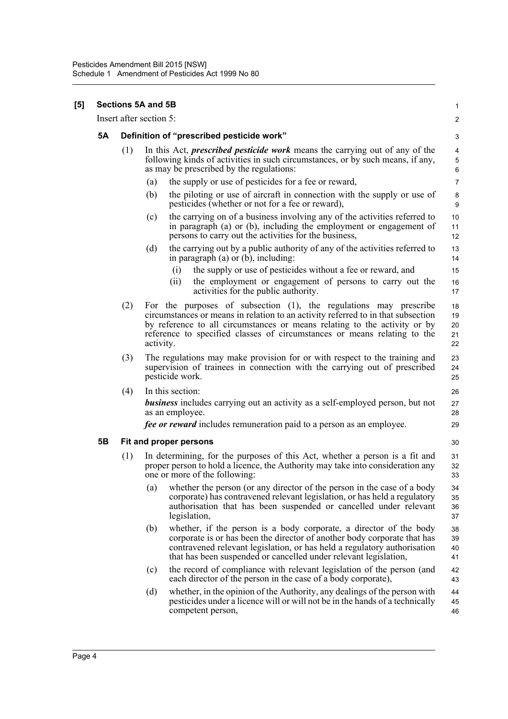**[5]** 

|           |     | Sections 5A and 5B                                                                                                                                                                                                                                                                                                          | 1                                 |
|-----------|-----|-----------------------------------------------------------------------------------------------------------------------------------------------------------------------------------------------------------------------------------------------------------------------------------------------------------------------------|-----------------------------------|
|           |     | Insert after section 5:                                                                                                                                                                                                                                                                                                     | $\overline{\mathbf{c}}$           |
| <b>5A</b> |     | Definition of "prescribed pesticide work"                                                                                                                                                                                                                                                                                   | 3                                 |
|           | (1) | In this Act, <i>prescribed pesticide work</i> means the carrying out of any of the<br>following kinds of activities in such circumstances, or by such means, if any,<br>as may be prescribed by the regulations:                                                                                                            | $\overline{\mathbf{4}}$<br>5<br>6 |
|           |     | the supply or use of pesticides for a fee or reward,<br>(a)                                                                                                                                                                                                                                                                 | $\overline{7}$                    |
|           |     | the piloting or use of aircraft in connection with the supply or use of<br>(b)<br>pesticides (whether or not for a fee or reward),                                                                                                                                                                                          | 8<br>9                            |
|           |     | the carrying on of a business involving any of the activities referred to<br>(c)<br>in paragraph (a) or (b), including the employment or engagement of<br>persons to carry out the activities for the business,                                                                                                             | 10<br>11<br>12                    |
|           |     | the carrying out by a public authority of any of the activities referred to<br>(d)<br>in paragraph $(a)$ or $(b)$ , including:                                                                                                                                                                                              | 13<br>14                          |
|           |     | the supply or use of pesticides without a fee or reward, and<br>(i)<br>the employment or engagement of persons to carry out the<br>(ii)<br>activities for the public authority.                                                                                                                                             | 15<br>16<br>17                    |
|           | (2) | For the purposes of subsection (1), the regulations may prescribe<br>circumstances or means in relation to an activity referred to in that subsection<br>by reference to all circumstances or means relating to the activity or by<br>reference to specified classes of circumstances or means relating to the<br>activity. | 18<br>19<br>20<br>21<br>22        |
|           | (3) | The regulations may make provision for or with respect to the training and<br>supervision of trainees in connection with the carrying out of prescribed<br>pesticide work.                                                                                                                                                  | 23<br>24<br>25                    |
|           | (4) | In this section:<br><b>business</b> includes carrying out an activity as a self-employed person, but not<br>as an employee.<br><i>fee or reward</i> includes remuneration paid to a person as an employee.                                                                                                                  | 26<br>27<br>28<br>29              |
| 5B        |     | Fit and proper persons                                                                                                                                                                                                                                                                                                      | 30                                |
|           | (1) | In determining, for the purposes of this Act, whether a person is a fit and<br>proper person to hold a licence, the Authority may take into consideration any<br>one or more of the following:                                                                                                                              | 31<br>32<br>33                    |
|           |     | whether the person (or any director of the person in the case of a body<br>(a)<br>corporate) has contravened relevant legislation, or has held a regulatory<br>authorisation that has been suspended or cancelled under relevant<br>legislation,                                                                            | 34<br>35<br>36<br>37              |
|           |     | whether, if the person is a body corporate, a director of the body<br>(b)<br>corporate is or has been the director of another body corporate that has<br>contravened relevant legislation, or has held a regulatory authorisation<br>that has been suspended or cancelled under relevant legislation,                       | 38<br>39<br>40<br>41              |
|           |     | the record of compliance with relevant legislation of the person (and<br>(c)<br>each director of the person in the case of a body corporate),                                                                                                                                                                               | 42<br>43                          |
|           |     | whether, in the opinion of the Authority, any dealings of the person with<br>(d)<br>pesticides under a licence will or will not be in the hands of a technically<br>competent person,                                                                                                                                       | 44<br>45<br>46                    |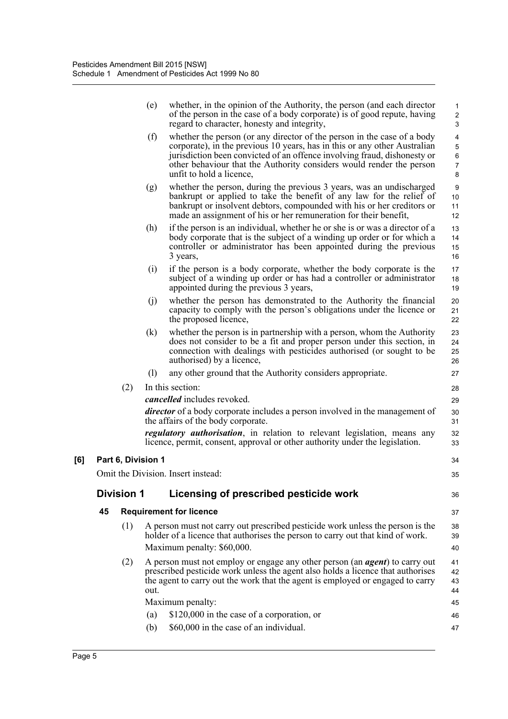|     |    |                    | (e)  | whether, in the opinion of the Authority, the person (and each director<br>of the person in the case of a body corporate) is of good repute, having<br>regard to character, honesty and integrity,                                                                                                                                   | $\mathbf{1}$<br>$\overline{c}$<br>$\ensuremath{\mathsf{3}}$ |
|-----|----|--------------------|------|--------------------------------------------------------------------------------------------------------------------------------------------------------------------------------------------------------------------------------------------------------------------------------------------------------------------------------------|-------------------------------------------------------------|
|     |    |                    | (f)  | whether the person (or any director of the person in the case of a body<br>corporate), in the previous 10 years, has in this or any other Australian<br>jurisdiction been convicted of an offence involving fraud, dishonesty or<br>other behaviour that the Authority considers would render the person<br>unfit to hold a licence, | $\overline{4}$<br>5<br>6<br>$\overline{7}$<br>8             |
|     |    |                    | (g)  | whether the person, during the previous 3 years, was an undischarged<br>bankrupt or applied to take the benefit of any law for the relief of<br>bankrupt or insolvent debtors, compounded with his or her creditors or<br>made an assignment of his or her remuneration for their benefit,                                           | 9<br>10<br>11<br>12                                         |
|     |    |                    | (h)  | if the person is an individual, whether he or she is or was a director of a<br>body corporate that is the subject of a winding up order or for which a<br>controller or administrator has been appointed during the previous<br>3 years,                                                                                             | 13<br>14<br>15<br>16                                        |
|     |    |                    | (i)  | if the person is a body corporate, whether the body corporate is the<br>subject of a winding up order or has had a controller or administrator<br>appointed during the previous 3 years,                                                                                                                                             | 17<br>18<br>19                                              |
|     |    |                    | (j)  | whether the person has demonstrated to the Authority the financial<br>capacity to comply with the person's obligations under the licence or<br>the proposed licence,                                                                                                                                                                 | 20<br>21<br>22                                              |
|     |    |                    | (k)  | whether the person is in partnership with a person, whom the Authority<br>does not consider to be a fit and proper person under this section, in<br>connection with dealings with pesticides authorised (or sought to be<br>authorised) by a licence,                                                                                | 23<br>24<br>25<br>26                                        |
|     |    |                    | (1)  | any other ground that the Authority considers appropriate.                                                                                                                                                                                                                                                                           | 27                                                          |
|     |    | (2)                |      | In this section:                                                                                                                                                                                                                                                                                                                     | 28                                                          |
|     |    |                    |      | cancelled includes revoked.                                                                                                                                                                                                                                                                                                          | 29                                                          |
|     |    |                    |      | <i>director</i> of a body corporate includes a person involved in the management of<br>the affairs of the body corporate.                                                                                                                                                                                                            | 30<br>31                                                    |
|     |    |                    |      | <i>regulatory authorisation</i> , in relation to relevant legislation, means any<br>licence, permit, consent, approval or other authority under the legislation.                                                                                                                                                                     | 32<br>33                                                    |
| [6] |    | Part 6, Division 1 |      |                                                                                                                                                                                                                                                                                                                                      | 34                                                          |
|     |    |                    |      | Omit the Division. Insert instead:                                                                                                                                                                                                                                                                                                   | 35                                                          |
|     |    | <b>Division 1</b>  |      | Licensing of prescribed pesticide work                                                                                                                                                                                                                                                                                               | 36                                                          |
|     | 45 |                    |      | <b>Requirement for licence</b>                                                                                                                                                                                                                                                                                                       | 37                                                          |
|     |    | (1)                |      | A person must not carry out prescribed pesticide work unless the person is the<br>holder of a licence that authorises the person to carry out that kind of work.<br>Maximum penalty: \$60,000.                                                                                                                                       | 38<br>39<br>40                                              |
|     |    |                    |      |                                                                                                                                                                                                                                                                                                                                      |                                                             |
|     |    | (2)                | out. | A person must not employ or engage any other person (an <i>agent</i> ) to carry out<br>prescribed pesticide work unless the agent also holds a licence that authorises<br>the agent to carry out the work that the agent is employed or engaged to carry                                                                             | 41<br>42<br>43<br>44                                        |
|     |    |                    |      | Maximum penalty:                                                                                                                                                                                                                                                                                                                     | 45                                                          |
|     |    |                    | (a)  | \$120,000 in the case of a corporation, or                                                                                                                                                                                                                                                                                           | 46                                                          |
|     |    |                    | (b)  | \$60,000 in the case of an individual.                                                                                                                                                                                                                                                                                               | 47                                                          |
|     |    |                    |      |                                                                                                                                                                                                                                                                                                                                      |                                                             |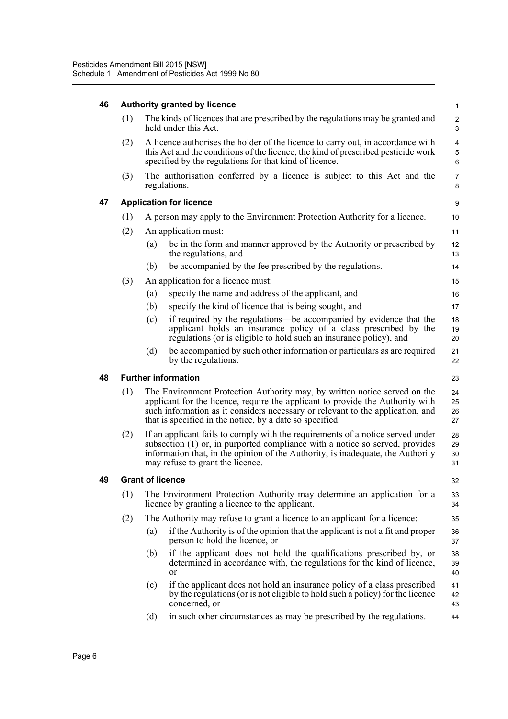| 46 | <b>Authority granted by licence</b> |                                |                                                                                                                                                                                                                                                                                                           |                      |  |  |  |  |
|----|-------------------------------------|--------------------------------|-----------------------------------------------------------------------------------------------------------------------------------------------------------------------------------------------------------------------------------------------------------------------------------------------------------|----------------------|--|--|--|--|
|    | (1)                                 |                                | The kinds of licences that are prescribed by the regulations may be granted and<br>held under this Act.                                                                                                                                                                                                   | $\overline{c}$<br>3  |  |  |  |  |
|    | (2)                                 |                                | A licence authorises the holder of the licence to carry out, in accordance with<br>this Act and the conditions of the licence, the kind of prescribed pesticide work<br>specified by the regulations for that kind of licence.                                                                            | 4<br>5<br>6          |  |  |  |  |
|    | (3)                                 |                                | The authorisation conferred by a licence is subject to this Act and the<br>regulations.                                                                                                                                                                                                                   | $\overline{7}$<br>8  |  |  |  |  |
| 47 |                                     | <b>Application for licence</b> |                                                                                                                                                                                                                                                                                                           |                      |  |  |  |  |
|    | (1)                                 |                                | A person may apply to the Environment Protection Authority for a licence.                                                                                                                                                                                                                                 | 10                   |  |  |  |  |
|    | (2)                                 |                                | An application must:                                                                                                                                                                                                                                                                                      | 11                   |  |  |  |  |
|    |                                     | (a)                            | be in the form and manner approved by the Authority or prescribed by<br>the regulations, and                                                                                                                                                                                                              | 12<br>13             |  |  |  |  |
|    |                                     | (b)                            | be accompanied by the fee prescribed by the regulations.                                                                                                                                                                                                                                                  | 14                   |  |  |  |  |
|    | (3)                                 |                                | An application for a licence must:                                                                                                                                                                                                                                                                        | 15                   |  |  |  |  |
|    |                                     | (a)                            | specify the name and address of the applicant, and                                                                                                                                                                                                                                                        | 16                   |  |  |  |  |
|    |                                     | (b)                            | specify the kind of licence that is being sought, and                                                                                                                                                                                                                                                     | 17                   |  |  |  |  |
|    |                                     | (c)                            | if required by the regulations—be accompanied by evidence that the<br>applicant holds an insurance policy of a class prescribed by the<br>regulations (or is eligible to hold such an insurance policy), and                                                                                              | 18<br>19<br>20       |  |  |  |  |
|    |                                     | (d)                            | be accompanied by such other information or particulars as are required<br>by the regulations.                                                                                                                                                                                                            | 21<br>22             |  |  |  |  |
|    |                                     |                                |                                                                                                                                                                                                                                                                                                           |                      |  |  |  |  |
| 48 |                                     |                                | <b>Further information</b>                                                                                                                                                                                                                                                                                | 23                   |  |  |  |  |
|    | (1)                                 |                                | The Environment Protection Authority may, by written notice served on the<br>applicant for the licence, require the applicant to provide the Authority with<br>such information as it considers necessary or relevant to the application, and<br>that is specified in the notice, by a date so specified. | 24<br>25<br>26<br>27 |  |  |  |  |
|    | (2)                                 |                                | If an applicant fails to comply with the requirements of a notice served under<br>subsection (1) or, in purported compliance with a notice so served, provides<br>information that, in the opinion of the Authority, is inadequate, the Authority<br>may refuse to grant the licence.                     | 28<br>29<br>30<br>31 |  |  |  |  |
| 49 |                                     | <b>Grant of licence</b>        |                                                                                                                                                                                                                                                                                                           | 32                   |  |  |  |  |
|    | (1)                                 |                                | The Environment Protection Authority may determine an application for a<br>licence by granting a licence to the applicant.                                                                                                                                                                                | 33<br>34             |  |  |  |  |
|    | (2)                                 |                                | The Authority may refuse to grant a licence to an applicant for a licence:                                                                                                                                                                                                                                | 35                   |  |  |  |  |
|    |                                     | (a)                            | if the Authority is of the opinion that the applicant is not a fit and proper<br>person to hold the licence, or                                                                                                                                                                                           | 36<br>37             |  |  |  |  |
|    |                                     | (b)                            | if the applicant does not hold the qualifications prescribed by, or<br>determined in accordance with, the regulations for the kind of licence,<br><sub>or</sub>                                                                                                                                           | 38<br>39<br>40       |  |  |  |  |
|    |                                     | (c)                            | if the applicant does not hold an insurance policy of a class prescribed<br>by the regulations (or is not eligible to hold such a policy) for the licence<br>concerned, or                                                                                                                                | 41<br>42<br>43       |  |  |  |  |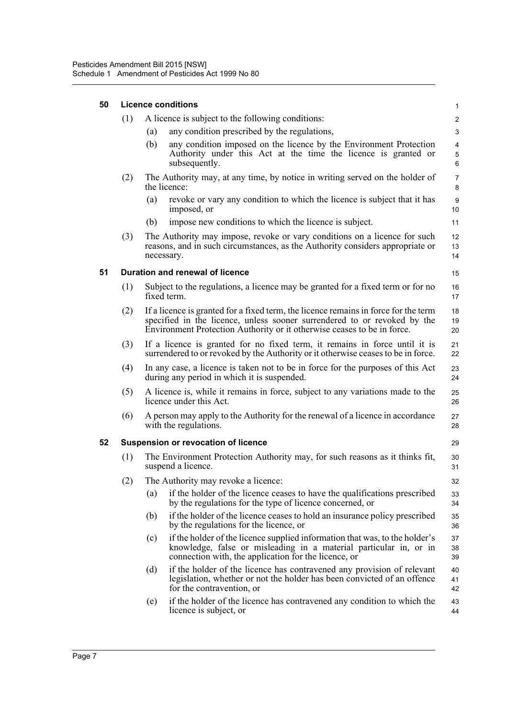| 50 |     | <b>Licence conditions</b>                                                                                                                                                                                                                  |                      |  |  |  |  |
|----|-----|--------------------------------------------------------------------------------------------------------------------------------------------------------------------------------------------------------------------------------------------|----------------------|--|--|--|--|
|    | (1) | A licence is subject to the following conditions:                                                                                                                                                                                          | $\overline{c}$       |  |  |  |  |
|    |     | any condition prescribed by the regulations,<br>(a)                                                                                                                                                                                        | 3                    |  |  |  |  |
|    |     | any condition imposed on the licence by the Environment Protection<br>(b)<br>Authority under this Act at the time the licence is granted or<br>subsequently.                                                                               | 4<br>5<br>6          |  |  |  |  |
|    | (2) | The Authority may, at any time, by notice in writing served on the holder of<br>the licence:                                                                                                                                               |                      |  |  |  |  |
|    |     | (a)<br>revoke or vary any condition to which the licence is subject that it has<br>imposed, or                                                                                                                                             | 9<br>10 <sup>1</sup> |  |  |  |  |
|    |     | impose new conditions to which the licence is subject.<br>(b)                                                                                                                                                                              | 11                   |  |  |  |  |
|    | (3) | The Authority may impose, revoke or vary conditions on a licence for such<br>reasons, and in such circumstances, as the Authority considers appropriate or<br>necessary.                                                                   | 12<br>13<br>14       |  |  |  |  |
| 51 |     | Duration and renewal of licence                                                                                                                                                                                                            | 15                   |  |  |  |  |
|    | (1) | Subject to the regulations, a licence may be granted for a fixed term or for no<br>fixed term.                                                                                                                                             | 16<br>17             |  |  |  |  |
|    | (2) | If a licence is granted for a fixed term, the licence remains in force for the term<br>specified in the licence, unless sooner surrendered to or revoked by the<br>Environment Protection Authority or it otherwise ceases to be in force. | 18<br>19<br>20       |  |  |  |  |
|    | (3) | If a licence is granted for no fixed term, it remains in force until it is<br>surrendered to or revoked by the Authority or it otherwise ceases to be in force.                                                                            | 21<br>22             |  |  |  |  |
|    | (4) | In any case, a licence is taken not to be in force for the purposes of this Act<br>during any period in which it is suspended.                                                                                                             | 23<br>24             |  |  |  |  |
|    | (5) | A licence is, while it remains in force, subject to any variations made to the<br>25<br>licence under this Act.<br>26                                                                                                                      |                      |  |  |  |  |
|    | (6) | A person may apply to the Authority for the renewal of a licence in accordance<br>with the regulations.                                                                                                                                    |                      |  |  |  |  |
| 52 |     | <b>Suspension or revocation of licence</b>                                                                                                                                                                                                 | 29                   |  |  |  |  |
|    | (1) | The Environment Protection Authority may, for such reasons as it thinks fit,<br>suspend a licence.                                                                                                                                         | 30<br>31             |  |  |  |  |
|    | (2) | The Authority may revoke a licence:                                                                                                                                                                                                        | 32                   |  |  |  |  |
|    |     | if the holder of the licence ceases to have the qualifications prescribed<br>(a)<br>by the regulations for the type of licence concerned, or                                                                                               | 33<br>34             |  |  |  |  |
|    |     | if the holder of the licence ceases to hold an insurance policy prescribed<br>(b)<br>by the regulations for the licence, or                                                                                                                | 35<br>36             |  |  |  |  |
|    |     | if the holder of the licence supplied information that was, to the holder's<br>(c)<br>knowledge, false or misleading in a material particular in, or in<br>connection with, the application for the licence, or                            | 37<br>38<br>39       |  |  |  |  |
|    |     | (d)<br>if the holder of the licence has contravened any provision of relevant<br>legislation, whether or not the holder has been convicted of an offence<br>for the contravention, or                                                      | 40<br>41<br>42       |  |  |  |  |
|    |     | if the holder of the licence has contravened any condition to which the<br>(e)<br>licence is subject, or                                                                                                                                   | 43<br>44             |  |  |  |  |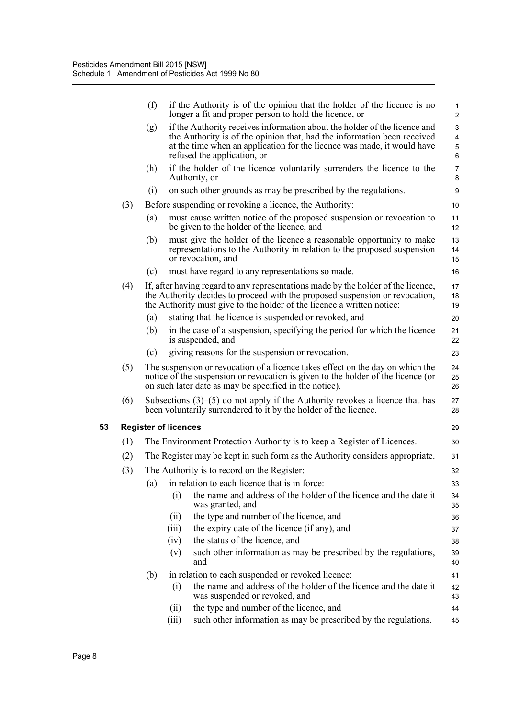|     | (f)                         |       | if the Authority is of the opinion that the holder of the licence is no<br>longer a fit and proper person to hold the licence, or                                                                                                           | 1<br>$\overline{2}$ |
|-----|-----------------------------|-------|---------------------------------------------------------------------------------------------------------------------------------------------------------------------------------------------------------------------------------------------|---------------------|
|     | (g)                         |       | if the Authority receives information about the holder of the licence and<br>the Authority is of the opinion that, had the information been received<br>at the time when an application for the licence was made, it would have             | 3<br>4<br>5         |
|     |                             |       | refused the application, or                                                                                                                                                                                                                 | 6                   |
|     | (h)                         |       | if the holder of the licence voluntarily surrenders the licence to the<br>Authority, or                                                                                                                                                     | $\overline{7}$<br>8 |
|     | (i)                         |       | on such other grounds as may be prescribed by the regulations.                                                                                                                                                                              | 9                   |
| (3) |                             |       | Before suspending or revoking a licence, the Authority:                                                                                                                                                                                     | 10                  |
|     | (a)                         |       | must cause written notice of the proposed suspension or revocation to<br>be given to the holder of the licence, and                                                                                                                         | 11<br>12            |
|     | (b)                         |       | must give the holder of the licence a reasonable opportunity to make<br>representations to the Authority in relation to the proposed suspension<br>or revocation, and                                                                       | 13<br>14<br>15      |
|     | (c)                         |       | must have regard to any representations so made.                                                                                                                                                                                            | 16                  |
| (4) |                             |       | If, after having regard to any representations made by the holder of the licence,<br>the Authority decides to proceed with the proposed suspension or revocation,<br>the Authority must give to the holder of the licence a written notice: | 17<br>18<br>19      |
|     | (a)                         |       | stating that the licence is suspended or revoked, and                                                                                                                                                                                       | 20                  |
|     | (b)                         |       | in the case of a suspension, specifying the period for which the licence<br>is suspended, and                                                                                                                                               | 21<br>22            |
|     | (c)                         |       | giving reasons for the suspension or revocation.                                                                                                                                                                                            | 23                  |
| (5) |                             |       | The suspension or revocation of a licence takes effect on the day on which the<br>notice of the suspension or revocation is given to the holder of the licence (or<br>on such later date as may be specified in the notice).                | 24<br>25<br>26      |
| (6) |                             |       | Subsections $(3)$ – $(5)$ do not apply if the Authority revokes a licence that has<br>been voluntarily surrendered to it by the holder of the licence.                                                                                      | 27<br>28            |
|     | <b>Register of licences</b> |       |                                                                                                                                                                                                                                             | 29                  |
| (1) |                             |       | The Environment Protection Authority is to keep a Register of Licences.                                                                                                                                                                     | 30                  |
| (2) |                             |       | The Register may be kept in such form as the Authority considers appropriate.                                                                                                                                                               | 31                  |
| (3) |                             |       | The Authority is to record on the Register:                                                                                                                                                                                                 | 32                  |
|     | (a)                         |       | in relation to each licence that is in force:                                                                                                                                                                                               | 33                  |
|     |                             | (i)   | the name and address of the holder of the licence and the date it<br>was granted, and                                                                                                                                                       | 34<br>35            |
|     |                             | (ii)  | the type and number of the licence, and                                                                                                                                                                                                     | 36                  |
|     |                             | (iii) | the expiry date of the licence (if any), and                                                                                                                                                                                                | 37                  |
|     |                             | (iv)  | the status of the licence, and                                                                                                                                                                                                              | 38                  |
|     |                             | (v)   | such other information as may be prescribed by the regulations,<br>and                                                                                                                                                                      | 39<br>40            |
|     | (b)                         |       | in relation to each suspended or revoked licence:                                                                                                                                                                                           | 41                  |
|     |                             | (i)   | the name and address of the holder of the licence and the date it<br>was suspended or revoked, and                                                                                                                                          | 42<br>43            |
|     |                             | (ii)  | the type and number of the licence, and                                                                                                                                                                                                     | 44                  |
|     |                             | (iii) | such other information as may be prescribed by the regulations.                                                                                                                                                                             | 45                  |

**53 Register of licences**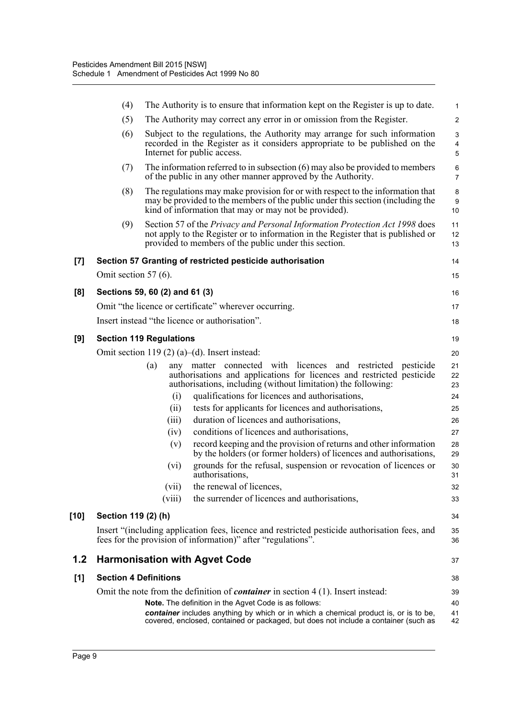|      | (4)                          | The Authority is to ensure that information kept on the Register is up to date.                                                                                                                                           | $\mathbf{1}$                        |
|------|------------------------------|---------------------------------------------------------------------------------------------------------------------------------------------------------------------------------------------------------------------------|-------------------------------------|
|      | (5)                          | The Authority may correct any error in or omission from the Register.                                                                                                                                                     | $\overline{2}$                      |
|      | (6)                          | Subject to the regulations, the Authority may arrange for such information<br>recorded in the Register as it considers appropriate to be published on the<br>Internet for public access.                                  | $\ensuremath{\mathsf{3}}$<br>4<br>5 |
|      | (7)                          | The information referred to in subsection $(6)$ may also be provided to members<br>of the public in any other manner approved by the Authority.                                                                           | 6<br>$\overline{7}$                 |
|      | (8)                          | The regulations may make provision for or with respect to the information that<br>may be provided to the members of the public under this section (including the<br>kind of information that may or may not be provided). | 8<br>$\boldsymbol{9}$<br>10         |
|      | (9)                          | Section 57 of the Privacy and Personal Information Protection Act 1998 does<br>not apply to the Register or to information in the Register that is published or<br>provided to members of the public under this section.  | 11<br>12<br>13                      |
| [7]  |                              | Section 57 Granting of restricted pesticide authorisation                                                                                                                                                                 | 14                                  |
|      | Omit section 57 $(6)$ .      |                                                                                                                                                                                                                           | 15                                  |
| [8]  |                              | Sections 59, 60 (2) and 61 (3)                                                                                                                                                                                            | 16                                  |
|      |                              | Omit "the licence or certificate" wherever occurring.                                                                                                                                                                     | 17                                  |
|      |                              | Insert instead "the licence or authorisation".                                                                                                                                                                            | 18                                  |
| [9]  |                              | <b>Section 119 Regulations</b>                                                                                                                                                                                            | 19                                  |
|      |                              | Omit section 119 $(2)$ (a)–(d). Insert instead:                                                                                                                                                                           | 20                                  |
|      |                              | any matter connected with licences and restricted<br>(a)<br>pesticide<br>authorisations and applications for licences and restricted pesticide<br>authorisations, including (without limitation) the following:           | 21<br>22<br>23                      |
|      |                              | qualifications for licences and authorisations,<br>(i)                                                                                                                                                                    | 24                                  |
|      |                              | tests for applicants for licences and authorisations,<br>(ii)                                                                                                                                                             | 25                                  |
|      |                              | duration of licences and authorisations,<br>(iii)                                                                                                                                                                         | 26                                  |
|      |                              | (iv)<br>conditions of licences and authorisations,                                                                                                                                                                        | 27                                  |
|      |                              | record keeping and the provision of returns and other information<br>(v)<br>by the holders (or former holders) of licences and authorisations,                                                                            | 28<br>29                            |
|      |                              | grounds for the refusal, suspension or revocation of licences or<br>(vi)<br>authorisations.                                                                                                                               | 30<br>31                            |
|      |                              | the renewal of licences,<br>(vii)                                                                                                                                                                                         | 32                                  |
|      |                              | the surrender of licences and authorisations,<br>(viii)                                                                                                                                                                   | 33                                  |
| [10] | Section 119 (2) (h)          |                                                                                                                                                                                                                           | 34                                  |
|      |                              | Insert "(including application fees, licence and restricted pesticide authorisation fees, and<br>fees for the provision of information)" after "regulations".                                                             | 35<br>36                            |
| 1.2  |                              | <b>Harmonisation with Agvet Code</b>                                                                                                                                                                                      | 37                                  |
| [1]  | <b>Section 4 Definitions</b> |                                                                                                                                                                                                                           | 38                                  |
|      |                              | Omit the note from the definition of <i>container</i> in section $4(1)$ . Insert instead:                                                                                                                                 | 39                                  |
|      |                              | <b>Note.</b> The definition in the Agvet Code is as follows:                                                                                                                                                              | 40                                  |
|      |                              | container includes anything by which or in which a chemical product is, or is to be,<br>covered, enclosed, contained or packaged, but does not include a container (such as                                               | 41<br>42                            |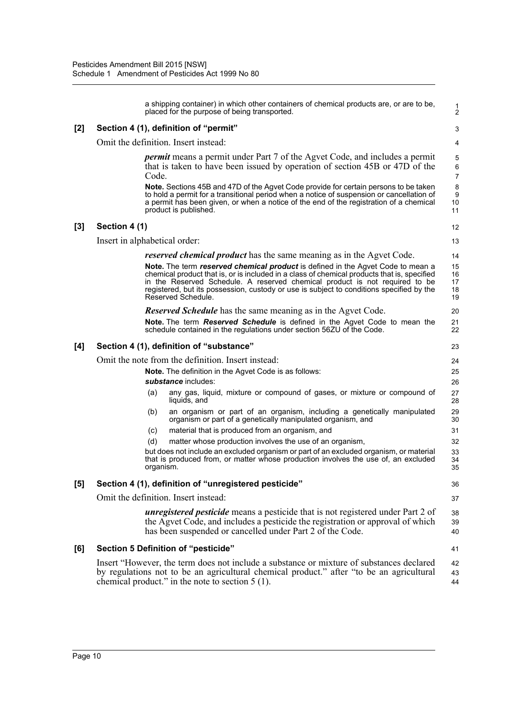|     |                                      |           | a shipping container) in which other containers of chemical products are, or are to be,<br>placed for the purpose of being transported.                                                                                                                                                                                                                                         | 1<br>$\overline{2}$                    |  |
|-----|--------------------------------------|-----------|---------------------------------------------------------------------------------------------------------------------------------------------------------------------------------------------------------------------------------------------------------------------------------------------------------------------------------------------------------------------------------|----------------------------------------|--|
| [2] |                                      |           | Section 4 (1), definition of "permit"                                                                                                                                                                                                                                                                                                                                           | 3                                      |  |
|     |                                      |           | Omit the definition. Insert instead:                                                                                                                                                                                                                                                                                                                                            | 4                                      |  |
|     |                                      | Code.     | <i>permit</i> means a permit under Part 7 of the Agvet Code, and includes a permit<br>that is taken to have been issued by operation of section 45B or 47D of the                                                                                                                                                                                                               | 5<br>$6\phantom{1}6$<br>$\overline{7}$ |  |
|     |                                      |           | <b>Note.</b> Sections 45B and 47D of the Agvet Code provide for certain persons to be taken<br>to hold a permit for a transitional period when a notice of suspension or cancellation of<br>a permit has been given, or when a notice of the end of the registration of a chemical<br>product is published.                                                                     | 8<br>9<br>10<br>11                     |  |
| [3] | Section 4 (1)                        |           |                                                                                                                                                                                                                                                                                                                                                                                 | 12                                     |  |
|     | Insert in alphabetical order:        |           |                                                                                                                                                                                                                                                                                                                                                                                 | 13                                     |  |
|     |                                      |           | <i>reserved chemical product</i> has the same meaning as in the Agvet Code.                                                                                                                                                                                                                                                                                                     | 14                                     |  |
|     |                                      |           | Note. The term reserved chemical product is defined in the Agvet Code to mean a<br>chemical product that is, or is included in a class of chemical products that is, specified<br>in the Reserved Schedule. A reserved chemical product is not required to be<br>registered, but its possession, custody or use is subject to conditions specified by the<br>Reserved Schedule. | 15<br>16<br>17<br>18<br>19             |  |
|     |                                      |           | <b>Reserved Schedule</b> has the same meaning as in the Agvet Code.                                                                                                                                                                                                                                                                                                             | 20                                     |  |
|     |                                      |           | <b>Note.</b> The term <b>Reserved Schedule</b> is defined in the Agvet Code to mean the<br>schedule contained in the regulations under section 56ZU of the Code.                                                                                                                                                                                                                | 21<br>22                               |  |
| [4] |                                      |           | Section 4 (1), definition of "substance"                                                                                                                                                                                                                                                                                                                                        | 23                                     |  |
|     |                                      |           | Omit the note from the definition. Insert instead:                                                                                                                                                                                                                                                                                                                              | 24                                     |  |
|     |                                      |           | Note. The definition in the Agvet Code is as follows:                                                                                                                                                                                                                                                                                                                           | 25                                     |  |
|     |                                      |           | <i>substance</i> includes:                                                                                                                                                                                                                                                                                                                                                      | 26                                     |  |
|     |                                      | (a)       | any gas, liquid, mixture or compound of gases, or mixture or compound of<br>liquids, and                                                                                                                                                                                                                                                                                        | 27<br>28                               |  |
|     |                                      | (b)       | an organism or part of an organism, including a genetically manipulated<br>organism or part of a genetically manipulated organism, and                                                                                                                                                                                                                                          | 29<br>30                               |  |
|     |                                      | (c)       | material that is produced from an organism, and                                                                                                                                                                                                                                                                                                                                 | 31                                     |  |
|     |                                      | (d)       | matter whose production involves the use of an organism,                                                                                                                                                                                                                                                                                                                        | 32                                     |  |
|     |                                      | organism. | but does not include an excluded organism or part of an excluded organism, or material<br>that is produced from, or matter whose production involves the use of, an excluded                                                                                                                                                                                                    | 33<br>34<br>35                         |  |
| [5] |                                      |           | Section 4 (1), definition of "unregistered pesticide"                                                                                                                                                                                                                                                                                                                           | 36                                     |  |
|     | Omit the definition. Insert instead: |           |                                                                                                                                                                                                                                                                                                                                                                                 |                                        |  |
|     |                                      |           | <b>unregistered pesticide</b> means a pesticide that is not registered under Part 2 of<br>the Agvet Code, and includes a pesticide the registration or approval of which<br>has been suspended or cancelled under Part 2 of the Code.                                                                                                                                           | 38<br>39<br>40                         |  |
| [6] |                                      |           | <b>Section 5 Definition of "pesticide"</b>                                                                                                                                                                                                                                                                                                                                      | 41                                     |  |
|     |                                      |           | Insert "However, the term does not include a substance or mixture of substances declared<br>by regulations not to be an agricultural chemical product." after "to be an agricultural<br>chemical product." in the note to section $5(1)$ .                                                                                                                                      | 42<br>43<br>44                         |  |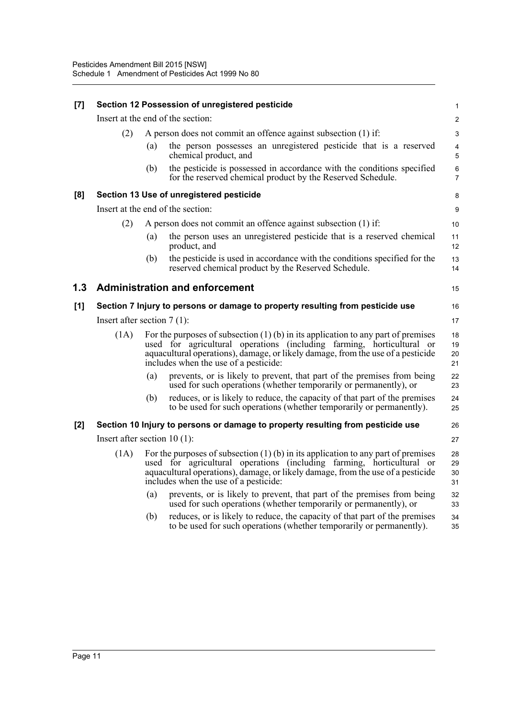| [7] | Section 12 Possession of unregistered pesticide |     |                                                                                                                                                                                                                                                                                          |                              |  |
|-----|-------------------------------------------------|-----|------------------------------------------------------------------------------------------------------------------------------------------------------------------------------------------------------------------------------------------------------------------------------------------|------------------------------|--|
|     |                                                 |     | Insert at the end of the section:                                                                                                                                                                                                                                                        | $\overline{c}$               |  |
|     | (2)                                             |     | A person does not commit an offence against subsection (1) if:                                                                                                                                                                                                                           | 3                            |  |
|     |                                                 | (a) | the person possesses an unregistered pesticide that is a reserved<br>chemical product, and                                                                                                                                                                                               | $\overline{\mathbf{4}}$<br>5 |  |
|     |                                                 | (b) | the pesticide is possessed in accordance with the conditions specified<br>for the reserved chemical product by the Reserved Schedule.                                                                                                                                                    | 6<br>$\overline{7}$          |  |
| [8] |                                                 |     | Section 13 Use of unregistered pesticide                                                                                                                                                                                                                                                 | 8                            |  |
|     |                                                 |     | Insert at the end of the section:                                                                                                                                                                                                                                                        | 9                            |  |
|     | (2)                                             |     | A person does not commit an offence against subsection (1) if:                                                                                                                                                                                                                           | 10                           |  |
|     |                                                 | (a) | the person uses an unregistered pesticide that is a reserved chemical<br>product, and                                                                                                                                                                                                    | 11<br>12                     |  |
|     |                                                 | (b) | the pesticide is used in accordance with the conditions specified for the<br>reserved chemical product by the Reserved Schedule.                                                                                                                                                         | 13<br>14                     |  |
| 1.3 |                                                 |     | <b>Administration and enforcement</b>                                                                                                                                                                                                                                                    | 15                           |  |
| [1] |                                                 |     | Section 7 Injury to persons or damage to property resulting from pesticide use                                                                                                                                                                                                           | 16                           |  |
|     | Insert after section $7(1)$ :                   |     |                                                                                                                                                                                                                                                                                          | 17                           |  |
|     | (1A)                                            |     | For the purposes of subsection $(1)$ (b) in its application to any part of premises<br>used for agricultural operations (including farming, horticultural or<br>aquacultural operations), damage, or likely damage, from the use of a pesticide<br>includes when the use of a pesticide: | 18<br>19<br>20<br>21         |  |
|     |                                                 | (a) | prevents, or is likely to prevent, that part of the premises from being<br>used for such operations (whether temporarily or permanently), or                                                                                                                                             | 22<br>23                     |  |
|     |                                                 | (b) | reduces, or is likely to reduce, the capacity of that part of the premises<br>to be used for such operations (whether temporarily or permanently).                                                                                                                                       | 24<br>25                     |  |
| [2] |                                                 |     | Section 10 Injury to persons or damage to property resulting from pesticide use                                                                                                                                                                                                          | 26                           |  |
|     | Insert after section $10(1)$ :                  |     |                                                                                                                                                                                                                                                                                          | 27                           |  |
|     | (1A)                                            |     | For the purposes of subsection $(1)$ (b) in its application to any part of premises<br>used for agricultural operations (including farming, horticultural or<br>aquacultural operations), damage, or likely damage, from the use of a pesticide<br>includes when the use of a pesticide: | 28<br>29<br>30<br>31         |  |
|     |                                                 | (a) | prevents, or is likely to prevent, that part of the premises from being<br>used for such operations (whether temporarily or permanently), or                                                                                                                                             | 32<br>33                     |  |
|     |                                                 | (b) | reduces, or is likely to reduce, the capacity of that part of the premises<br>to be used for such operations (whether temporarily or permanently).                                                                                                                                       | 34<br>35                     |  |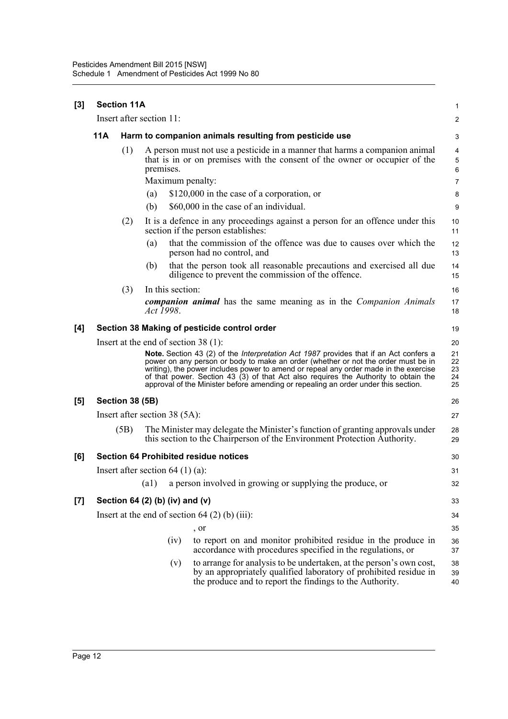| [3] |                                                               | <b>Section 11A</b>                 |                         |      |                                                                                                                                                                                                                                                                                                                                                                                                                                                 | 1                          |  |
|-----|---------------------------------------------------------------|------------------------------------|-------------------------|------|-------------------------------------------------------------------------------------------------------------------------------------------------------------------------------------------------------------------------------------------------------------------------------------------------------------------------------------------------------------------------------------------------------------------------------------------------|----------------------------|--|
|     |                                                               | Insert after section 11:           |                         |      |                                                                                                                                                                                                                                                                                                                                                                                                                                                 | $\overline{c}$             |  |
|     | 11A<br>Harm to companion animals resulting from pesticide use |                                    |                         |      |                                                                                                                                                                                                                                                                                                                                                                                                                                                 |                            |  |
|     |                                                               | (1)                                | premises.<br>(a)<br>(b) |      | A person must not use a pesticide in a manner that harms a companion animal<br>that is in or on premises with the consent of the owner or occupier of the<br>Maximum penalty:<br>\$120,000 in the case of a corporation, or<br>\$60,000 in the case of an individual.                                                                                                                                                                           | 4<br>5<br>6<br>7<br>8<br>9 |  |
|     |                                                               | (2)                                |                         |      | It is a defence in any proceedings against a person for an offence under this<br>section if the person establishes:                                                                                                                                                                                                                                                                                                                             | 10<br>11                   |  |
|     |                                                               |                                    | (a)                     |      | that the commission of the offence was due to causes over which the<br>person had no control, and                                                                                                                                                                                                                                                                                                                                               | 12<br>13                   |  |
|     |                                                               |                                    | (b)                     |      | that the person took all reasonable precautions and exercised all due<br>diligence to prevent the commission of the offence.                                                                                                                                                                                                                                                                                                                    | 14<br>15                   |  |
|     |                                                               | (3)                                | In this section:        |      |                                                                                                                                                                                                                                                                                                                                                                                                                                                 | 16                         |  |
|     |                                                               |                                    | Act 1998.               |      | <b>companion animal</b> has the same meaning as in the <i>Companion Animals</i>                                                                                                                                                                                                                                                                                                                                                                 | 17<br>18                   |  |
| [4] |                                                               |                                    |                         |      | Section 38 Making of pesticide control order                                                                                                                                                                                                                                                                                                                                                                                                    | 19                         |  |
|     |                                                               |                                    |                         |      | Insert at the end of section $38(1)$ :                                                                                                                                                                                                                                                                                                                                                                                                          | 20                         |  |
|     |                                                               |                                    |                         |      | Note. Section 43 (2) of the Interpretation Act 1987 provides that if an Act confers a<br>power on any person or body to make an order (whether or not the order must be in<br>writing), the power includes power to amend or repeal any order made in the exercise<br>of that power. Section 43 (3) of that Act also requires the Authority to obtain the<br>approval of the Minister before amending or repealing an order under this section. | 21<br>22<br>23<br>24<br>25 |  |
| [5] |                                                               | Section 38 (5B)                    |                         |      |                                                                                                                                                                                                                                                                                                                                                                                                                                                 | 26                         |  |
|     |                                                               | Insert after section $38(5A)$ :    |                         |      |                                                                                                                                                                                                                                                                                                                                                                                                                                                 | 27                         |  |
|     |                                                               | (5B)                               |                         |      | The Minister may delegate the Minister's function of granting approvals under<br>this section to the Chairperson of the Environment Protection Authority.                                                                                                                                                                                                                                                                                       | 28<br>29                   |  |
| [6] |                                                               |                                    |                         |      | <b>Section 64 Prohibited residue notices</b>                                                                                                                                                                                                                                                                                                                                                                                                    | 30                         |  |
|     |                                                               | Insert after section $64$ (1) (a): |                         |      |                                                                                                                                                                                                                                                                                                                                                                                                                                                 | 31                         |  |
|     |                                                               |                                    | (a1)                    |      | a person involved in growing or supplying the produce, or                                                                                                                                                                                                                                                                                                                                                                                       | 32                         |  |
| [7] |                                                               | Section 64 (2) (b) (iv) and (v)    |                         |      |                                                                                                                                                                                                                                                                                                                                                                                                                                                 | 33                         |  |
|     |                                                               |                                    |                         |      | Insert at the end of section $64(2)$ (b) (iii):                                                                                                                                                                                                                                                                                                                                                                                                 | 34                         |  |
|     |                                                               |                                    |                         |      | , or                                                                                                                                                                                                                                                                                                                                                                                                                                            | 35                         |  |
|     |                                                               |                                    |                         | (iv) | to report on and monitor prohibited residue in the produce in<br>accordance with procedures specified in the regulations, or                                                                                                                                                                                                                                                                                                                    | 36<br>37                   |  |
|     |                                                               |                                    |                         | (v)  | to arrange for analysis to be undertaken, at the person's own cost,<br>by an appropriately qualified laboratory of prohibited residue in<br>the produce and to report the findings to the Authority.                                                                                                                                                                                                                                            | 38<br>39<br>40             |  |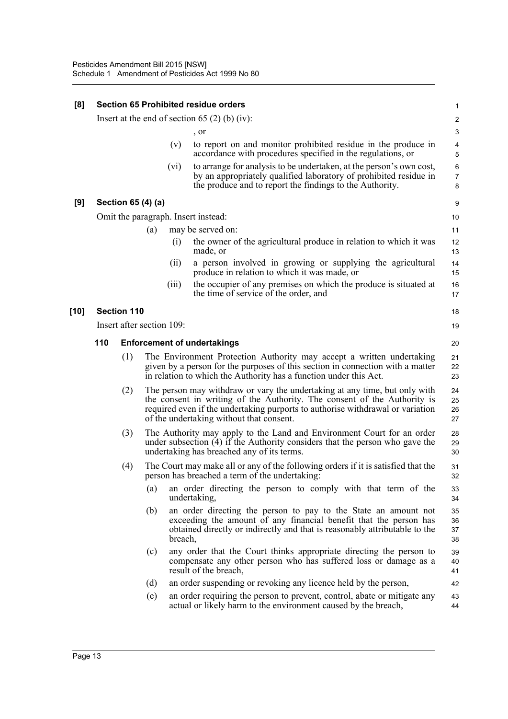| [8]  | <b>Section 65 Prohibited residue orders</b>   |                           |                          |                                                                                                                                                                                                                                                                                      |                                                                                                                                                                                                                              |                          |  |  |
|------|-----------------------------------------------|---------------------------|--------------------------|--------------------------------------------------------------------------------------------------------------------------------------------------------------------------------------------------------------------------------------------------------------------------------------|------------------------------------------------------------------------------------------------------------------------------------------------------------------------------------------------------------------------------|--------------------------|--|--|
|      | Insert at the end of section 65 (2) (b) (iv): |                           |                          |                                                                                                                                                                                                                                                                                      |                                                                                                                                                                                                                              |                          |  |  |
|      |                                               |                           |                          |                                                                                                                                                                                                                                                                                      | , or                                                                                                                                                                                                                         | 3                        |  |  |
|      |                                               |                           |                          | (v)                                                                                                                                                                                                                                                                                  | to report on and monitor prohibited residue in the produce in<br>accordance with procedures specified in the regulations, or                                                                                                 | 4<br>5                   |  |  |
|      |                                               |                           |                          | (vi)                                                                                                                                                                                                                                                                                 | to arrange for analysis to be undertaken, at the person's own cost,<br>by an appropriately qualified laboratory of prohibited residue in<br>the produce and to report the findings to the Authority.                         | 6<br>$\overline{7}$<br>8 |  |  |
| [9]  |                                               | Section 65 (4) (a)        |                          |                                                                                                                                                                                                                                                                                      |                                                                                                                                                                                                                              | 9                        |  |  |
|      | Omit the paragraph. Insert instead:           |                           |                          |                                                                                                                                                                                                                                                                                      |                                                                                                                                                                                                                              |                          |  |  |
|      |                                               |                           | may be served on:<br>(a) |                                                                                                                                                                                                                                                                                      |                                                                                                                                                                                                                              | 11                       |  |  |
|      |                                               |                           |                          | (i)                                                                                                                                                                                                                                                                                  | the owner of the agricultural produce in relation to which it was<br>made, or                                                                                                                                                | 12<br>13                 |  |  |
|      |                                               |                           |                          | (ii)                                                                                                                                                                                                                                                                                 | a person involved in growing or supplying the agricultural<br>produce in relation to which it was made, or                                                                                                                   | 14<br>15                 |  |  |
|      |                                               |                           |                          | (iii)                                                                                                                                                                                                                                                                                | the occupier of any premises on which the produce is situated at<br>the time of service of the order, and                                                                                                                    | 16<br>17                 |  |  |
| [10] |                                               | <b>Section 110</b>        |                          |                                                                                                                                                                                                                                                                                      |                                                                                                                                                                                                                              | 18                       |  |  |
|      |                                               | Insert after section 109: |                          |                                                                                                                                                                                                                                                                                      |                                                                                                                                                                                                                              | 19                       |  |  |
|      | 110                                           |                           |                          |                                                                                                                                                                                                                                                                                      | <b>Enforcement of undertakings</b>                                                                                                                                                                                           | 20                       |  |  |
|      |                                               | (1)                       |                          |                                                                                                                                                                                                                                                                                      | The Environment Protection Authority may accept a written undertaking<br>given by a person for the purposes of this section in connection with a matter<br>in relation to which the Authority has a function under this Act. | 21<br>22<br>23           |  |  |
|      |                                               | (2)                       |                          | The person may withdraw or vary the undertaking at any time, but only with<br>the consent in writing of the Authority. The consent of the Authority is<br>required even if the undertaking purports to authorise withdrawal or variation<br>of the undertaking without that consent. | 24<br>25<br>26<br>27                                                                                                                                                                                                         |                          |  |  |
|      |                                               | (3)                       |                          |                                                                                                                                                                                                                                                                                      | The Authority may apply to the Land and Environment Court for an order<br>under subsection (4) if the Authority considers that the person who gave the<br>undertaking has breached any of its terms.                         | 28<br>29<br>30           |  |  |
|      |                                               | (4)                       |                          |                                                                                                                                                                                                                                                                                      | The Court may make all or any of the following orders if it is satisfied that the<br>person has breached a term of the undertaking:                                                                                          | 31<br>32                 |  |  |
|      |                                               |                           | (a)                      |                                                                                                                                                                                                                                                                                      | an order directing the person to comply with that term of the<br>undertaking,                                                                                                                                                | 33<br>34                 |  |  |
|      |                                               |                           | (b)                      | breach,                                                                                                                                                                                                                                                                              | an order directing the person to pay to the State an amount not<br>exceeding the amount of any financial benefit that the person has<br>obtained directly or indirectly and that is reasonably attributable to the           | 35<br>36<br>37<br>38     |  |  |
|      |                                               |                           | (c)                      |                                                                                                                                                                                                                                                                                      | any order that the Court thinks appropriate directing the person to<br>compensate any other person who has suffered loss or damage as a<br>result of the breach,                                                             | 39<br>40<br>41           |  |  |
|      |                                               |                           | (d)                      |                                                                                                                                                                                                                                                                                      | an order suspending or revoking any licence held by the person,                                                                                                                                                              | 42                       |  |  |
|      |                                               |                           | (e)                      |                                                                                                                                                                                                                                                                                      | an order requiring the person to prevent, control, abate or mitigate any<br>actual or likely harm to the environment caused by the breach,                                                                                   | 43<br>44                 |  |  |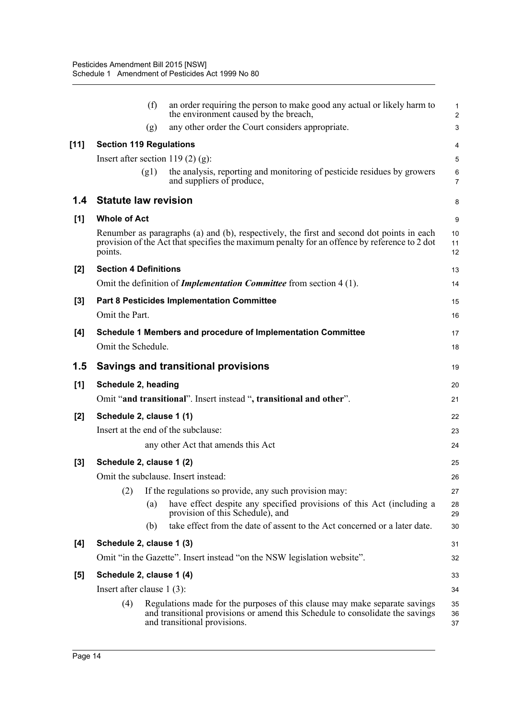|        | (f)                                    | an order requiring the person to make good any actual or likely harm to<br>the environment caused by the breach,                                                                            | 1<br>$\overline{\mathbf{c}}$ |  |  |  |
|--------|----------------------------------------|---------------------------------------------------------------------------------------------------------------------------------------------------------------------------------------------|------------------------------|--|--|--|
|        | (g)                                    | any other order the Court considers appropriate.                                                                                                                                            | 3                            |  |  |  |
| $[11]$ | <b>Section 119 Regulations</b>         |                                                                                                                                                                                             | 4                            |  |  |  |
|        | Insert after section 119 $(2)$ $(g)$ : |                                                                                                                                                                                             | 5                            |  |  |  |
|        | (g1)                                   | the analysis, reporting and monitoring of pesticide residues by growers<br>and suppliers of produce,                                                                                        | 6<br>7                       |  |  |  |
| 1.4    | <b>Statute law revision</b>            |                                                                                                                                                                                             | 8                            |  |  |  |
| [1]    | <b>Whole of Act</b>                    |                                                                                                                                                                                             | 9                            |  |  |  |
|        | points.                                | Renumber as paragraphs (a) and (b), respectively, the first and second dot points in each<br>provision of the Act that specifies the maximum penalty for an offence by reference to 2 dot   | 10<br>11<br>12               |  |  |  |
| $[2]$  | <b>Section 4 Definitions</b>           |                                                                                                                                                                                             |                              |  |  |  |
|        |                                        | Omit the definition of <i>Implementation Committee</i> from section 4(1).                                                                                                                   | 14                           |  |  |  |
| $[3]$  |                                        | <b>Part 8 Pesticides Implementation Committee</b>                                                                                                                                           | 15                           |  |  |  |
|        | Omit the Part.                         |                                                                                                                                                                                             | 16                           |  |  |  |
| [4]    |                                        | Schedule 1 Members and procedure of Implementation Committee                                                                                                                                | 17                           |  |  |  |
|        | Omit the Schedule.                     |                                                                                                                                                                                             | 18                           |  |  |  |
| 1.5    |                                        | <b>Savings and transitional provisions</b>                                                                                                                                                  | 19                           |  |  |  |
| [1]    | Schedule 2, heading                    |                                                                                                                                                                                             | 20                           |  |  |  |
|        |                                        | Omit "and transitional". Insert instead ", transitional and other".                                                                                                                         | 21                           |  |  |  |
| [2]    | Schedule 2, clause 1 (1)               |                                                                                                                                                                                             | 22                           |  |  |  |
|        | Insert at the end of the subclause:    |                                                                                                                                                                                             | 23                           |  |  |  |
|        |                                        | any other Act that amends this Act                                                                                                                                                          | 24                           |  |  |  |
| $[3]$  | Schedule 2, clause 1 (2)               |                                                                                                                                                                                             | 25                           |  |  |  |
|        | Omit the subclause. Insert instead:    |                                                                                                                                                                                             | 26                           |  |  |  |
|        | (2)                                    | If the regulations so provide, any such provision may:                                                                                                                                      | 27                           |  |  |  |
|        | (a)                                    | have effect despite any specified provisions of this Act (including a<br>provision of this Schedule), and                                                                                   | 28<br>29                     |  |  |  |
|        | (b)                                    | take effect from the date of assent to the Act concerned or a later date.                                                                                                                   | 30                           |  |  |  |
| [4]    | Schedule 2, clause 1 (3)               |                                                                                                                                                                                             | 31                           |  |  |  |
|        |                                        | Omit "in the Gazette". Insert instead "on the NSW legislation website".                                                                                                                     | 32                           |  |  |  |
| $[5]$  | Schedule 2, clause 1 (4)               |                                                                                                                                                                                             | 33                           |  |  |  |
|        | Insert after clause $1(3)$ :           |                                                                                                                                                                                             | 34                           |  |  |  |
|        | (4)                                    | Regulations made for the purposes of this clause may make separate savings<br>and transitional provisions or amend this Schedule to consolidate the savings<br>and transitional provisions. | 35<br>36<br>37               |  |  |  |
|        |                                        |                                                                                                                                                                                             |                              |  |  |  |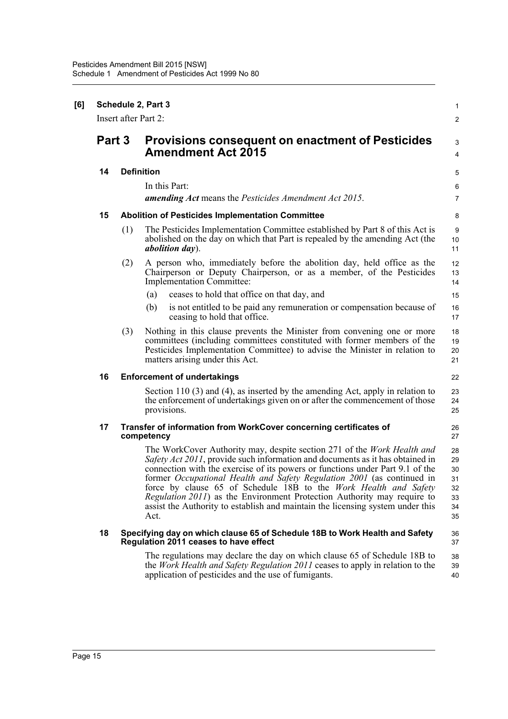| [6] | Schedule 2, Part 3 |                                                                                                                      |                                                                                                                                                                                                                                                                                                                                                                                                                                                                                                                                                                             |                                              |  |  |  |  |
|-----|--------------------|----------------------------------------------------------------------------------------------------------------------|-----------------------------------------------------------------------------------------------------------------------------------------------------------------------------------------------------------------------------------------------------------------------------------------------------------------------------------------------------------------------------------------------------------------------------------------------------------------------------------------------------------------------------------------------------------------------------|----------------------------------------------|--|--|--|--|
|     |                    | Insert after Part 2:                                                                                                 |                                                                                                                                                                                                                                                                                                                                                                                                                                                                                                                                                                             |                                              |  |  |  |  |
|     | Part 3             |                                                                                                                      | <b>Provisions consequent on enactment of Pesticides</b><br><b>Amendment Act 2015</b>                                                                                                                                                                                                                                                                                                                                                                                                                                                                                        |                                              |  |  |  |  |
|     | 14                 |                                                                                                                      | <b>Definition</b>                                                                                                                                                                                                                                                                                                                                                                                                                                                                                                                                                           |                                              |  |  |  |  |
|     |                    |                                                                                                                      | In this Part:<br><b>amending Act</b> means the Pesticides Amendment Act 2015.                                                                                                                                                                                                                                                                                                                                                                                                                                                                                               | 6<br>$\overline{7}$                          |  |  |  |  |
|     | 15                 |                                                                                                                      | <b>Abolition of Pesticides Implementation Committee</b>                                                                                                                                                                                                                                                                                                                                                                                                                                                                                                                     |                                              |  |  |  |  |
|     |                    | (1)                                                                                                                  | The Pesticides Implementation Committee established by Part 8 of this Act is<br>abolished on the day on which that Part is repealed by the amending Act (the<br><i>abolition day</i> ).                                                                                                                                                                                                                                                                                                                                                                                     | 9<br>10<br>11                                |  |  |  |  |
|     |                    | (2)                                                                                                                  | A person who, immediately before the abolition day, held office as the<br>Chairperson or Deputy Chairperson, or as a member, of the Pesticides<br><b>Implementation Committee:</b>                                                                                                                                                                                                                                                                                                                                                                                          | 12<br>13<br>14                               |  |  |  |  |
|     |                    |                                                                                                                      | ceases to hold that office on that day, and<br>(a)                                                                                                                                                                                                                                                                                                                                                                                                                                                                                                                          | 15                                           |  |  |  |  |
|     |                    |                                                                                                                      | (b)<br>is not entitled to be paid any remuneration or compensation because of<br>ceasing to hold that office.                                                                                                                                                                                                                                                                                                                                                                                                                                                               | 16<br>17                                     |  |  |  |  |
|     |                    | (3)                                                                                                                  | Nothing in this clause prevents the Minister from convening one or more<br>committees (including committees constituted with former members of the<br>Pesticides Implementation Committee) to advise the Minister in relation to<br>matters arising under this Act.                                                                                                                                                                                                                                                                                                         | 18<br>19<br>20<br>21                         |  |  |  |  |
|     | 16                 |                                                                                                                      | <b>Enforcement of undertakings</b>                                                                                                                                                                                                                                                                                                                                                                                                                                                                                                                                          |                                              |  |  |  |  |
|     |                    |                                                                                                                      | Section 110 $(3)$ and $(4)$ , as inserted by the amending Act, apply in relation to<br>the enforcement of undertakings given on or after the commencement of those<br>provisions.                                                                                                                                                                                                                                                                                                                                                                                           | 23<br>24<br>25                               |  |  |  |  |
|     | 17                 | Transfer of information from WorkCover concerning certificates of<br>competency                                      |                                                                                                                                                                                                                                                                                                                                                                                                                                                                                                                                                                             |                                              |  |  |  |  |
|     |                    |                                                                                                                      | The WorkCover Authority may, despite section 271 of the <i>Work Health and</i><br>Safety Act 2011, provide such information and documents as it has obtained in<br>connection with the exercise of its powers or functions under Part 9.1 of the<br>former Occupational Health and Safety Regulation 2001 (as continued in<br>force by clause 65 of Schedule 18B to the Work Health and Safety<br><i>Regulation 2011</i> ) as the Environment Protection Authority may require to<br>assist the Authority to establish and maintain the licensing system under this<br>Act. | 28<br>29<br>30<br>31<br>32<br>33<br>34<br>35 |  |  |  |  |
|     | 18                 | Specifying day on which clause 65 of Schedule 18B to Work Health and Safety<br>Regulation 2011 ceases to have effect |                                                                                                                                                                                                                                                                                                                                                                                                                                                                                                                                                                             |                                              |  |  |  |  |
|     |                    |                                                                                                                      | The regulations may declare the day on which clause 65 of Schedule 18B to<br>the <i>Work Health and Safety Regulation 2011</i> ceases to apply in relation to the<br>application of pesticides and the use of fumigants.                                                                                                                                                                                                                                                                                                                                                    | 38<br>39<br>40                               |  |  |  |  |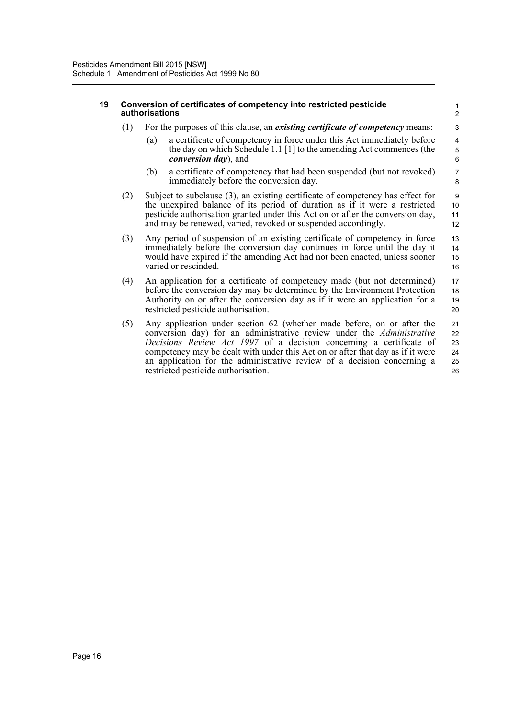#### **19 Conversion of certificates of competency into restricted pesticide authorisations**

- (1) For the purposes of this clause, an *existing certificate of competency* means:
	- (a) a certificate of competency in force under this Act immediately before the day on which Schedule 1.1 [1] to the amending Act commences (the *conversion day*), and

- (b) a certificate of competency that had been suspended (but not revoked) immediately before the conversion day.
- (2) Subject to subclause (3), an existing certificate of competency has effect for the unexpired balance of its period of duration as if it were a restricted pesticide authorisation granted under this Act on or after the conversion day, and may be renewed, varied, revoked or suspended accordingly.
- (3) Any period of suspension of an existing certificate of competency in force immediately before the conversion day continues in force until the day it would have expired if the amending Act had not been enacted, unless sooner varied or rescinded. 13 14 15 16
- (4) An application for a certificate of competency made (but not determined) before the conversion day may be determined by the Environment Protection Authority on or after the conversion day as if it were an application for a restricted pesticide authorisation. 17 18 19 20
- (5) Any application under section 62 (whether made before, on or after the conversion day) for an administrative review under the *Administrative Decisions Review Act 1997* of a decision concerning a certificate of competency may be dealt with under this Act on or after that day as if it were an application for the administrative review of a decision concerning a restricted pesticide authorisation. 21 22 23 24 25 26